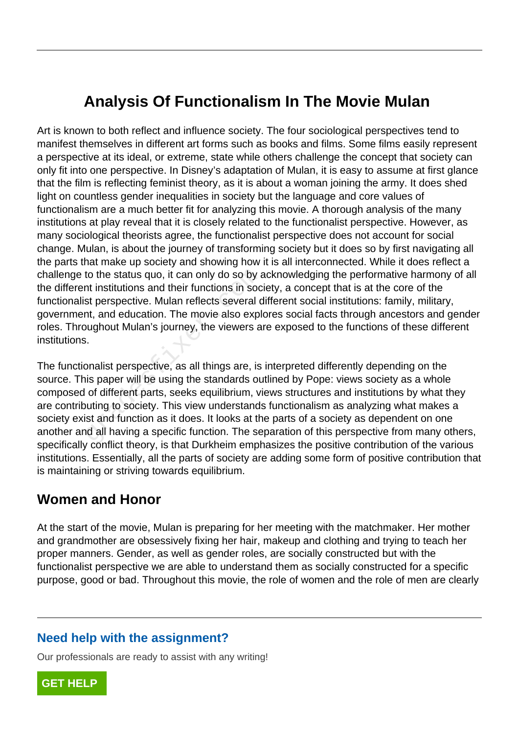# **Analysis Of Functionalism In The Movie Mulan**

Art is known to both reflect and influence society. The four sociological perspectives tend to manifest themselves in different art forms such as books and films. Some films easily represent a perspective at its ideal, or extreme, state while others challenge the concept that society can only fit into one perspective. In Disney's adaptation of Mulan, it is easy to assume at first glance that the film is reflecting feminist theory, as it is about a woman joining the army. It does shed light on countless gender inequalities in society but the language and core values of functionalism are a much better fit for analyzing this movie. A thorough analysis of the many institutions at play reveal that it is closely related to the functionalist perspective. However, as many sociological theorists agree, the functionalist perspective does not account for social change. Mulan, is about the journey of transforming society but it does so by first navigating all the parts that make up society and showing how it is all interconnected. While it does reflect a challenge to the status quo, it can only do so by acknowledging the performative harmony of all the different institutions and their functions in society, a concept that is at the core of the functionalist perspective. Mulan reflects several different social institutions: family, military, government, and education. The movie also explores social facts through ancestors and gender roles. Throughout Mulan's journey, the viewers are exposed to the functions of these different institutions.

The functionalist perspective, as all things are, is interpreted differently depending on the source. This paper will be using the standards outlined by Pope: views society as a whole composed of different parts, seeks equilibrium, views structures and institutions by what they are contributing to society. This view understands functionalism as analyzing what makes a society exist and function as it does. It looks at the parts of a society as dependent on one another and all having a specific function. The separation of this perspective from many others, specifically conflict theory, is that Durkheim emphasizes the positive contribution of the various institutions. Essentially, all the parts of society are adding some form of positive contribution that is maintaining or striving towards equilibrium. to the status quo, it can only do so by a<br>ort institutions and their functions in soc<br>st perspective. Mulan reflects several c<br>nt, and education. The movie also expl<br>bughout Mulan's journey, the viewers a<br>i.<br>onalist perspe

### **Women and Honor**

At the start of the movie, Mulan is preparing for her meeting with the matchmaker. Her mother and grandmother are obsessively fixing her hair, makeup and clothing and trying to teach her proper manners. Gender, as well as gender roles, are socially constructed but with the functionalist perspective we are able to understand them as socially constructed for a specific purpose, good or bad. Throughout this movie, the role of women and the role of men are clearly

#### **Need help with the assignment?**

Our professionals are ready to assist with any writing!

**[GET HELP](https://my.gradesfixer.com/order?utm_campaign=pdf_sample)**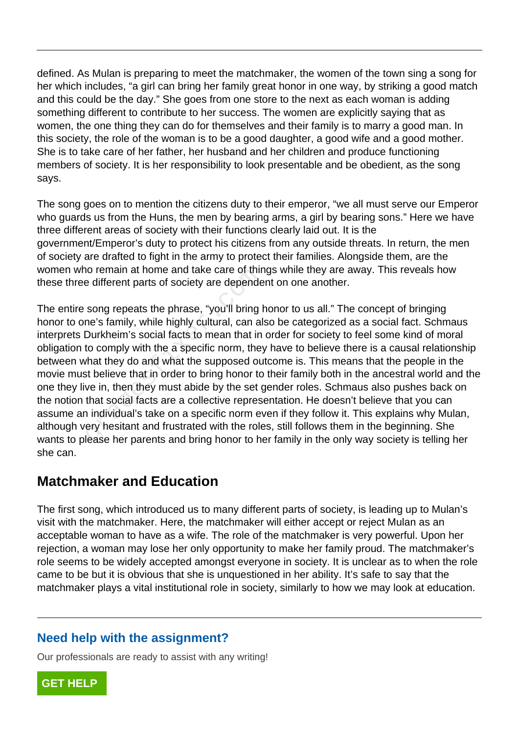defined. As Mulan is preparing to meet the matchmaker, the women of the town sing a song for her which includes, "a girl can bring her family great honor in one way, by striking a good match and this could be the day." She goes from one store to the next as each woman is adding something different to contribute to her success. The women are explicitly saying that as women, the one thing they can do for themselves and their family is to marry a good man. In this society, the role of the woman is to be a good daughter, a good wife and a good mother. She is to take care of her father, her husband and her children and produce functioning members of society. It is her responsibility to look presentable and be obedient, as the song says.

The song goes on to mention the citizens duty to their emperor, "we all must serve our Emperor who guards us from the Huns, the men by bearing arms, a girl by bearing sons." Here we have three different areas of society with their functions clearly laid out. It is the government/Emperor's duty to protect his citizens from any outside threats. In return, the men of society are drafted to fight in the army to protect their families. Alongside them, are the women who remain at home and take care of things while they are away. This reveals how these three different parts of society are dependent on one another.

The entire song repeats the phrase, "you'll bring honor to us all." The concept of bringing honor to one's family, while highly cultural, can also be categorized as a social fact. Schmaus interprets Durkheim's social facts to mean that in order for society to feel some kind of moral obligation to comply with the a specific norm, they have to believe there is a causal relationship between what they do and what the supposed outcome is. This means that the people in the movie must believe that in order to bring honor to their family both in the ancestral world and the one they live in, then they must abide by the set gender roles. Schmaus also pushes back on the notion that social facts are a collective representation. He doesn't believe that you can assume an individual's take on a specific norm even if they follow it. This explains why Mulan, although very hesitant and frustrated with the roles, still follows them in the beginning. She wants to please her parents and bring honor to her family in the only way society is telling her she can. io remain at nome and take care of thirm<br>e different parts of society are depende<br>song repeats the phrase, "you'll bring l<br>ne's family, while highly cultural, can al<br>Durkheim's social facts to mean that in<br>to comply with t

### **Matchmaker and Education**

The first song, which introduced us to many different parts of society, is leading up to Mulan's visit with the matchmaker. Here, the matchmaker will either accept or reject Mulan as an acceptable woman to have as a wife. The role of the matchmaker is very powerful. Upon her rejection, a woman may lose her only opportunity to make her family proud. The matchmaker's role seems to be widely accepted amongst everyone in society. It is unclear as to when the role came to be but it is obvious that she is unquestioned in her ability. It's safe to say that the matchmaker plays a vital institutional role in society, similarly to how we may look at education.

#### **Need help with the assignment?**

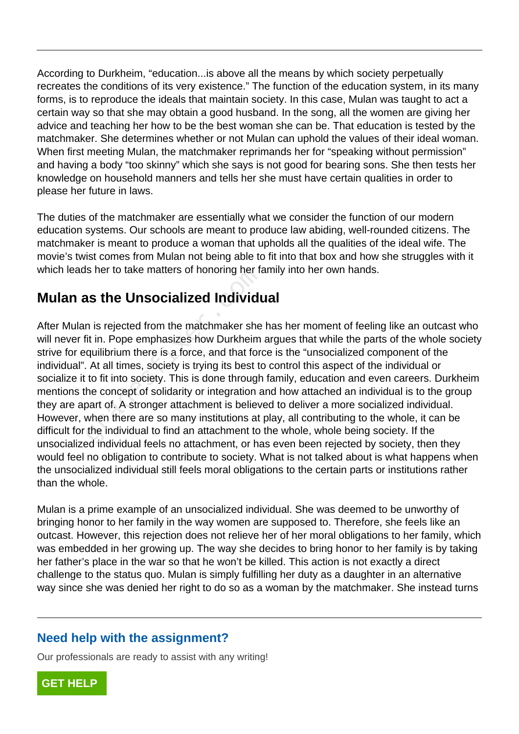According to Durkheim, "education...is above all the means by which society perpetually recreates the conditions of its very existence." The function of the education system, in its many forms, is to reproduce the ideals that maintain society. In this case, Mulan was taught to act a certain way so that she may obtain a good husband. In the song, all the women are giving her advice and teaching her how to be the best woman she can be. That education is tested by the matchmaker. She determines whether or not Mulan can uphold the values of their ideal woman. When first meeting Mulan, the matchmaker reprimands her for "speaking without permission" and having a body "too skinny" which she says is not good for bearing sons. She then tests her knowledge on household manners and tells her she must have certain qualities in order to please her future in laws.

The duties of the matchmaker are essentially what we consider the function of our modern education systems. Our schools are meant to produce law abiding, well-rounded citizens. The matchmaker is meant to produce a woman that upholds all the qualities of the ideal wife. The movie's twist comes from Mulan not being able to fit into that box and how she struggles with it which leads her to take matters of honoring her family into her own hands.

## **Mulan as the Unsocialized Individual**

After Mulan is rejected from the matchmaker she has her moment of feeling like an outcast who will never fit in. Pope emphasizes how Durkheim argues that while the parts of the whole society strive for equilibrium there is a force, and that force is the "unsocialized component of the individual". At all times, society is trying its best to control this aspect of the individual or socialize it to fit into society. This is done through family, education and even careers. Durkheim mentions the concept of solidarity or integration and how attached an individual is to the group they are apart of. A stronger attachment is believed to deliver a more socialized individual. However, when there are so many institutions at play, all contributing to the whole, it can be difficult for the individual to find an attachment to the whole, whole being society. If the unsocialized individual feels no attachment, or has even been rejected by society, then they would feel no obligation to contribute to society. What is not talked about is what happens when the unsocialized individual still feels moral obligations to the certain parts or institutions rather than the whole. **is the Unsocialized Individual for the Unsocialized Individual in is rejected from the matchmaker she fit in. Pope emphasizes how Durkheim quilibrium there is a force, and that fore a. At all times, society is trying its** 

Mulan is a prime example of an unsocialized individual. She was deemed to be unworthy of bringing honor to her family in the way women are supposed to. Therefore, she feels like an outcast. However, this rejection does not relieve her of her moral obligations to her family, which was embedded in her growing up. The way she decides to bring honor to her family is by taking her father's place in the war so that he won't be killed. This action is not exactly a direct challenge to the status quo. Mulan is simply fulfilling her duty as a daughter in an alternative way since she was denied her right to do so as a woman by the matchmaker. She instead turns

#### **Need help with the assignment?**

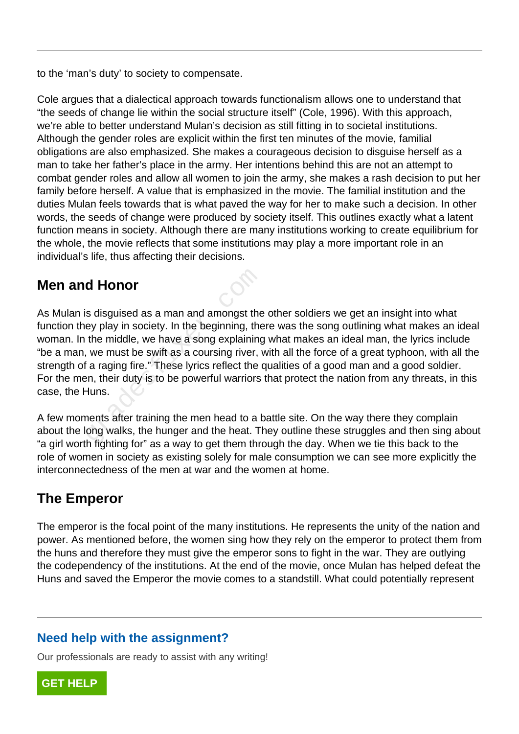to the 'man's duty' to society to compensate.

Cole argues that a dialectical approach towards functionalism allows one to understand that "the seeds of change lie within the social structure itself" (Cole, 1996). With this approach, we're able to better understand Mulan's decision as still fitting in to societal institutions. Although the gender roles are explicit within the first ten minutes of the movie, familial obligations are also emphasized. She makes a courageous decision to disguise herself as a man to take her father's place in the army. Her intentions behind this are not an attempt to combat gender roles and allow all women to join the army, she makes a rash decision to put her family before herself. A value that is emphasized in the movie. The familial institution and the duties Mulan feels towards that is what paved the way for her to make such a decision. In other words, the seeds of change were produced by society itself. This outlines exactly what a latent function means in society. Although there are many institutions working to create equilibrium for the whole, the movie reflects that some institutions may play a more important role in an individual's life, thus affecting their decisions.

#### **Men and Honor**

As Mulan is disguised as a man and amongst the other soldiers we get an insight into what function they play in society. In the beginning, there was the song outlining what makes an ideal woman. In the middle, we have a song explaining what makes an ideal man, the lyrics include "be a man, we must be swift as a coursing river, with all the force of a great typhoon, with all the strength of a raging fire." These lyrics reflect the qualities of a good man and a good soldier. For the men, their duty is to be powerful warriors that protect the nation from any threats, in this case, the Huns. **d Honor**<br>is disguised as a man and amongst the<br>ey play in society. In the beginning, the<br>the middle, we have a song explaining<br>, we must be swift as a coursing river,<br>if a raging fire." These lyrics reflect the ore,<br>then,

A few moments after training the men head to a battle site. On the way there they complain about the long walks, the hunger and the heat. They outline these struggles and then sing about "a girl worth fighting for" as a way to get them through the day. When we tie this back to the role of women in society as existing solely for male consumption we can see more explicitly the interconnectedness of the men at war and the women at home.

## **The Emperor**

The emperor is the focal point of the many institutions. He represents the unity of the nation and power. As mentioned before, the women sing how they rely on the emperor to protect them from the huns and therefore they must give the emperor sons to fight in the war. They are outlying the codependency of the institutions. At the end of the movie, once Mulan has helped defeat the Huns and saved the Emperor the movie comes to a standstill. What could potentially represent

#### **Need help with the assignment?**